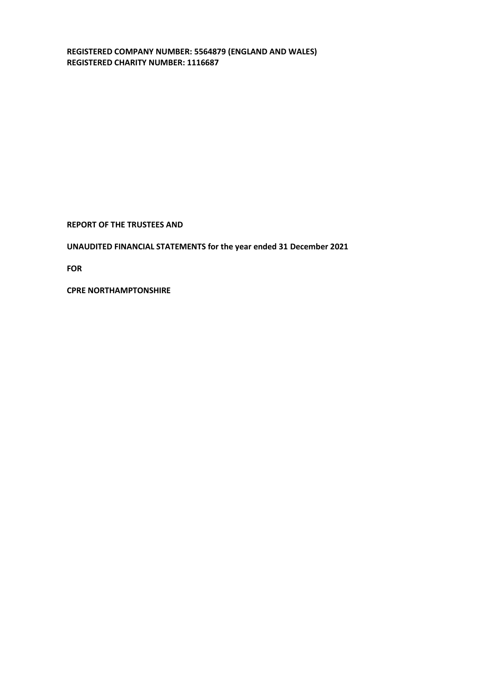**REGISTERED COMPANY NUMBER: 5564879 (ENGLAND AND WALES) REGISTERED CHARITY NUMBER: 1116687** 

**REPORT OF THE TRUSTEES AND** 

**UNAUDITED FINANCIAL STATEMENTS for the year ended 31 December 2021** 

**FOR**

**CPRE NORTHAMPTONSHIRE**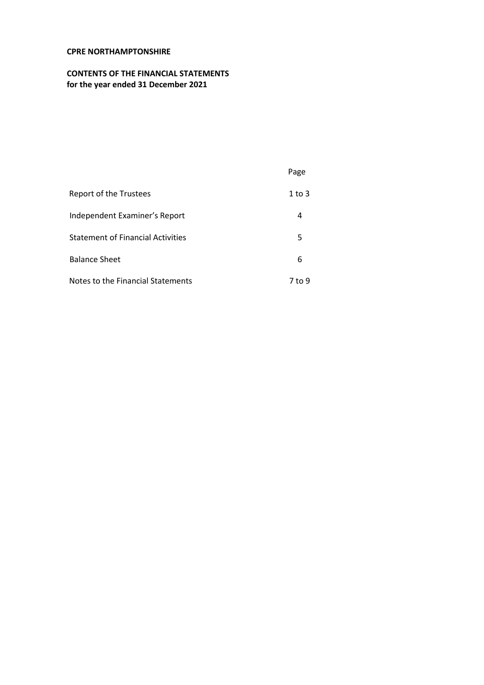# **CONTENTS OF THE FINANCIAL STATEMENTS for the year ended 31 December 2021**

|                                          | Page   |
|------------------------------------------|--------|
| Report of the Trustees                   | 1 to 3 |
| Independent Examiner's Report            | 4      |
| <b>Statement of Financial Activities</b> | 5      |
| <b>Balance Sheet</b>                     | 6      |
| Notes to the Financial Statements        | 7 to 9 |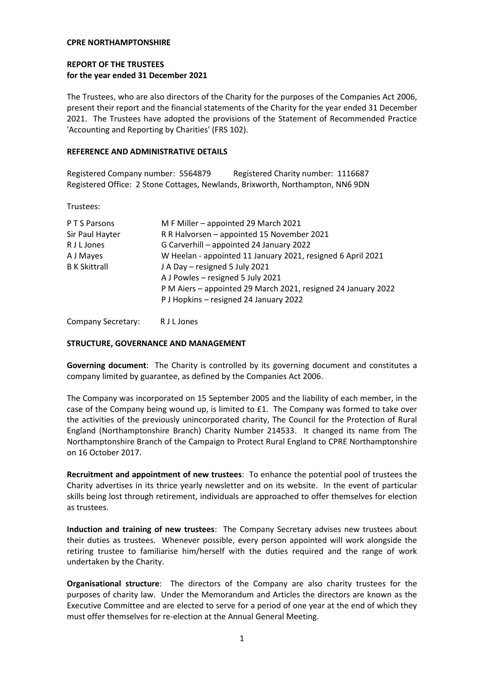## **REPORT OF THE TRUSTEES for the year ended 31 December 2021**

The Trustees, who are also directors of the Charity for the purposes of the Companies Act 2006, present their report and the financial statements of the Charity for the year ended 31 December 2021. The Trustees have adopted the provisions of the Statement of Recommended Practice 'Accounting and Reporting by Charities' (FRS 102).

### **REFERENCE AND ADMINISTRATIVE DETAILS**

Registered Company number: 5564879 Registered Charity number: 1116687 Registered Office: 2 Stone Cottages, Newlands, Brixworth, Northampton, NN6 9DN

Trustees:

| P T S Parsons        | M F Miller - appointed 29 March 2021                          |
|----------------------|---------------------------------------------------------------|
| Sir Paul Hayter      | R R Halvorsen - appointed 15 November 2021                    |
| R J L Jones          | G Carverhill - appointed 24 January 2022                      |
| A J Mayes            | W Heelan - appointed 11 January 2021, resigned 6 April 2021   |
| <b>B</b> K Skittrall | J A Day - resigned 5 July 2021                                |
|                      | A J Powles - resigned 5 July 2021                             |
|                      | P M Aiers - appointed 29 March 2021, resigned 24 January 2022 |
|                      | P J Hopkins - resigned 24 January 2022                        |

Company Secretary: R J L Jones

### **STRUCTURE, GOVERNANCE AND MANAGEMENT**

**Governing document**: The Charity is controlled by its governing document and constitutes a company limited by guarantee, as defined by the Companies Act 2006.

The Company was incorporated on 15 September 2005 and the liability of each member, in the case of the Company being wound up, is limited to £1. The Company was formed to take over the activities of the previously unincorporated charity, The Council for the Protection of Rural England (Northamptonshire Branch) Charity Number 214533. It changed its name from The Northamptonshire Branch of the Campaign to Protect Rural England to CPRE Northamptonshire on 16 October 2017.

**Recruitment and appointment of new trustees**: To enhance the potential pool of trustees the Charity advertises in its thrice yearly newsletter and on its website. In the event of particular skills being lost through retirement, individuals are approached to offer themselves for election as trustees.

**Induction and training of new trustees**: The Company Secretary advises new trustees about their duties as trustees. Whenever possible, every person appointed will work alongside the retiring trustee to familiarise him/herself with the duties required and the range of work undertaken by the Charity.

**Organisational structure**: The directors of the Company are also charity trustees for the purposes of charity law. Under the Memorandum and Articles the directors are known as the Executive Committee and are elected to serve for a period of one year at the end of which they must offer themselves for re-election at the Annual General Meeting.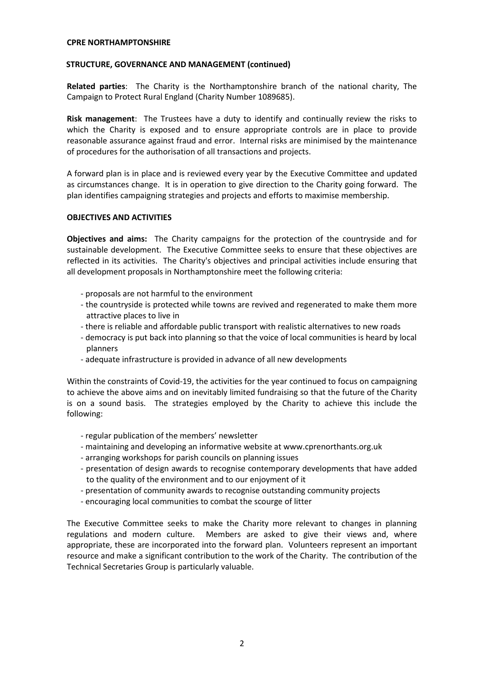## **STRUCTURE, GOVERNANCE AND MANAGEMENT (continued)**

**Related parties**: The Charity is the Northamptonshire branch of the national charity, The Campaign to Protect Rural England (Charity Number 1089685).

**Risk management**: The Trustees have a duty to identify and continually review the risks to which the Charity is exposed and to ensure appropriate controls are in place to provide reasonable assurance against fraud and error. Internal risks are minimised by the maintenance of procedures for the authorisation of all transactions and projects.

A forward plan is in place and is reviewed every year by the Executive Committee and updated as circumstances change. It is in operation to give direction to the Charity going forward. The plan identifies campaigning strategies and projects and efforts to maximise membership.

## **OBJECTIVES AND ACTIVITIES**

**Objectives and aims:** The Charity campaigns for the protection of the countryside and for sustainable development. The Executive Committee seeks to ensure that these objectives are reflected in its activities. The Charity's objectives and principal activities include ensuring that all development proposals in Northamptonshire meet the following criteria:

- proposals are not harmful to the environment
- the countryside is protected while towns are revived and regenerated to make them more attractive places to live in
- there is reliable and affordable public transport with realistic alternatives to new roads
- democracy is put back into planning so that the voice of local communities is heard by local planners
- adequate infrastructure is provided in advance of all new developments

Within the constraints of Covid-19, the activities for the year continued to focus on campaigning to achieve the above aims and on inevitably limited fundraising so that the future of the Charity is on a sound basis. The strategies employed by the Charity to achieve this include the following:

- regular publication of the members' newsletter
- maintaining and developing an informative website at www.cprenorthants.org.uk
- arranging workshops for parish councils on planning issues
- presentation of design awards to recognise contemporary developments that have added to the quality of the environment and to our enjoyment of it
- presentation of community awards to recognise outstanding community projects
- encouraging local communities to combat the scourge of litter

The Executive Committee seeks to make the Charity more relevant to changes in planning regulations and modern culture. Members are asked to give their views and, where appropriate, these are incorporated into the forward plan. Volunteers represent an important resource and make a significant contribution to the work of the Charity. The contribution of the Technical Secretaries Group is particularly valuable.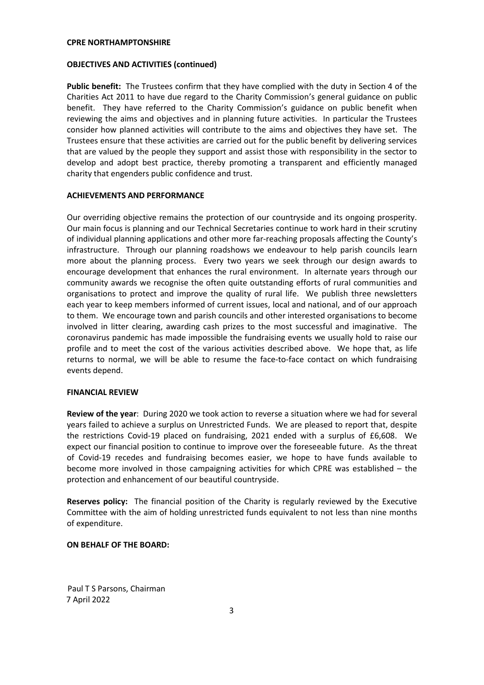### **OBJECTIVES AND ACTIVITIES (continued)**

**Public benefit:** The Trustees confirm that they have complied with the duty in Section 4 of the Charities Act 2011 to have due regard to the Charity Commission's general guidance on public benefit. They have referred to the Charity Commission's guidance on public benefit when reviewing the aims and objectives and in planning future activities. In particular the Trustees consider how planned activities will contribute to the aims and objectives they have set. The Trustees ensure that these activities are carried out for the public benefit by delivering services that are valued by the people they support and assist those with responsibility in the sector to develop and adopt best practice, thereby promoting a transparent and efficiently managed charity that engenders public confidence and trust.

## **ACHIEVEMENTS AND PERFORMANCE**

Our overriding objective remains the protection of our countryside and its ongoing prosperity. Our main focus is planning and our Technical Secretaries continue to work hard in their scrutiny of individual planning applications and other more far-reaching proposals affecting the County's infrastructure. Through our planning roadshows we endeavour to help parish councils learn more about the planning process. Every two years we seek through our design awards to encourage development that enhances the rural environment. In alternate years through our community awards we recognise the often quite outstanding efforts of rural communities and organisations to protect and improve the quality of rural life. We publish three newsletters each year to keep members informed of current issues, local and national, and of our approach to them. We encourage town and parish councils and other interested organisations to become involved in litter clearing, awarding cash prizes to the most successful and imaginative. The coronavirus pandemic has made impossible the fundraising events we usually hold to raise our profile and to meet the cost of the various activities described above. We hope that, as life returns to normal, we will be able to resume the face-to-face contact on which fundraising events depend.

### **FINANCIAL REVIEW**

**Review of the year**: During 2020 we took action to reverse a situation where we had for several years failed to achieve a surplus on Unrestricted Funds. We are pleased to report that, despite the restrictions Covid-19 placed on fundraising, 2021 ended with a surplus of £6,608. We expect our financial position to continue to improve over the foreseeable future. As the threat of Covid-19 recedes and fundraising becomes easier, we hope to have funds available to become more involved in those campaigning activities for which CPRE was established – the protection and enhancement of our beautiful countryside.

**Reserves policy:** The financial position of the Charity is regularly reviewed by the Executive Committee with the aim of holding unrestricted funds equivalent to not less than nine months of expenditure.

### **ON BEHALF OF THE BOARD:**

 Paul T S Parsons, Chairman 7 April 2022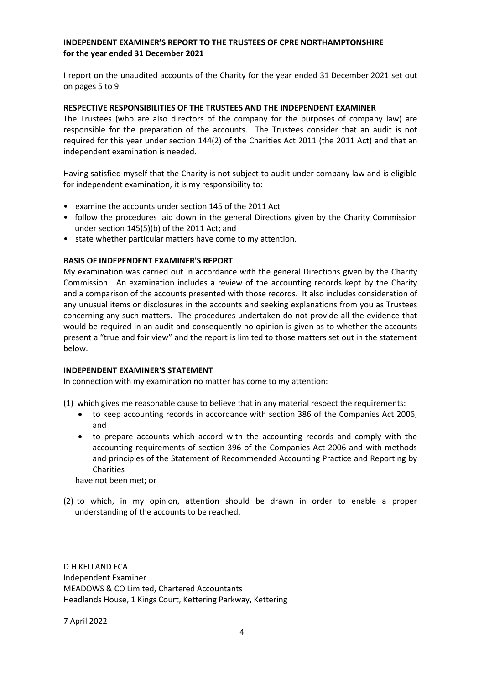## **INDEPENDENT EXAMINER'S REPORT TO THE TRUSTEES OF CPRE NORTHAMPTONSHIRE for the year ended 31 December 2021**

I report on the unaudited accounts of the Charity for the year ended 31 December 2021 set out on pages 5 to 9.

## **RESPECTIVE RESPONSIBILITIES OF THE TRUSTEES AND THE INDEPENDENT EXAMINER**

The Trustees (who are also directors of the company for the purposes of company law) are responsible for the preparation of the accounts. The Trustees consider that an audit is not required for this year under section 144(2) of the Charities Act 2011 (the 2011 Act) and that an independent examination is needed.

Having satisfied myself that the Charity is not subject to audit under company law and is eligible for independent examination, it is my responsibility to:

- examine the accounts under section 145 of the 2011 Act
- follow the procedures laid down in the general Directions given by the Charity Commission under section 145(5)(b) of the 2011 Act; and
- state whether particular matters have come to my attention.

## **BASIS OF INDEPENDENT EXAMINER'S REPORT**

My examination was carried out in accordance with the general Directions given by the Charity Commission. An examination includes a review of the accounting records kept by the Charity and a comparison of the accounts presented with those records. It also includes consideration of any unusual items or disclosures in the accounts and seeking explanations from you as Trustees concerning any such matters. The procedures undertaken do not provide all the evidence that would be required in an audit and consequently no opinion is given as to whether the accounts present a "true and fair view" and the report is limited to those matters set out in the statement below.

### **INDEPENDENT EXAMINER'S STATEMENT**

In connection with my examination no matter has come to my attention:

- (1) which gives me reasonable cause to believe that in any material respect the requirements:
	- to keep accounting records in accordance with section 386 of the Companies Act 2006; and
	- to prepare accounts which accord with the accounting records and comply with the accounting requirements of section 396 of the Companies Act 2006 and with methods and principles of the Statement of Recommended Accounting Practice and Reporting by Charities

have not been met; or

(2) to which, in my opinion, attention should be drawn in order to enable a proper understanding of the accounts to be reached.

D H KELLAND FCA Independent Examiner MEADOWS & CO Limited, Chartered Accountants Headlands House, 1 Kings Court, Kettering Parkway, Kettering

7 April 2022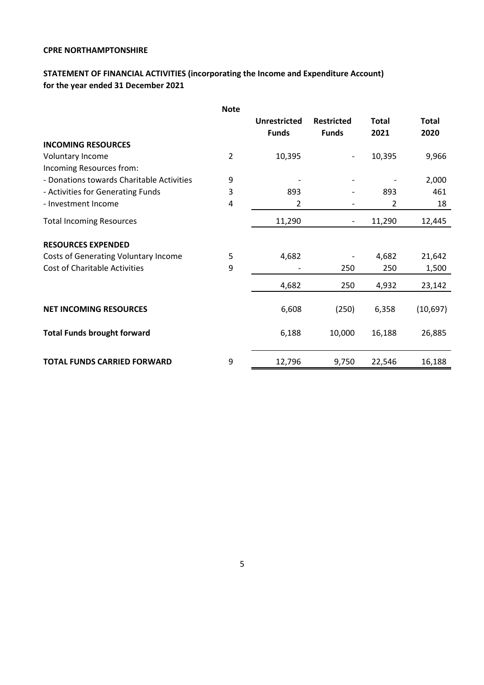# **STATEMENT OF FINANCIAL ACTIVITIES (incorporating the Income and Expenditure Account) for the year ended 31 December 2021**

|                                           | <b>Note</b>    |                     |                              |              |              |
|-------------------------------------------|----------------|---------------------|------------------------------|--------------|--------------|
|                                           |                | <b>Unrestricted</b> | <b>Restricted</b>            | <b>Total</b> | <b>Total</b> |
|                                           |                | <b>Funds</b>        | <b>Funds</b>                 | 2021         | 2020         |
| <b>INCOMING RESOURCES</b>                 |                |                     |                              |              |              |
| Voluntary Income                          | $\overline{2}$ | 10,395              |                              | 10,395       | 9,966        |
| Incoming Resources from:                  |                |                     |                              |              |              |
| - Donations towards Charitable Activities | 9              |                     |                              |              | 2,000        |
| - Activities for Generating Funds         | 3              | 893                 |                              | 893          | 461          |
| - Investment Income                       | 4              | 2                   | $\qquad \qquad \blacksquare$ | 2            | 18           |
| <b>Total Incoming Resources</b>           |                | 11,290              | $\qquad \qquad \blacksquare$ | 11,290       | 12,445       |
| <b>RESOURCES EXPENDED</b>                 |                |                     |                              |              |              |
| Costs of Generating Voluntary Income      | 5              | 4,682               |                              | 4,682        | 21,642       |
| <b>Cost of Charitable Activities</b>      | 9              |                     | 250                          | 250          | 1,500        |
|                                           |                | 4,682               | 250                          | 4,932        | 23,142       |
|                                           |                |                     |                              |              |              |
| <b>NET INCOMING RESOURCES</b>             |                | 6,608               | (250)                        | 6,358        | (10,697)     |
| <b>Total Funds brought forward</b>        |                | 6,188               | 10,000                       | 16,188       | 26,885       |
| <b>TOTAL FUNDS CARRIED FORWARD</b>        | 9              | 12,796              | 9,750                        | 22,546       | 16,188       |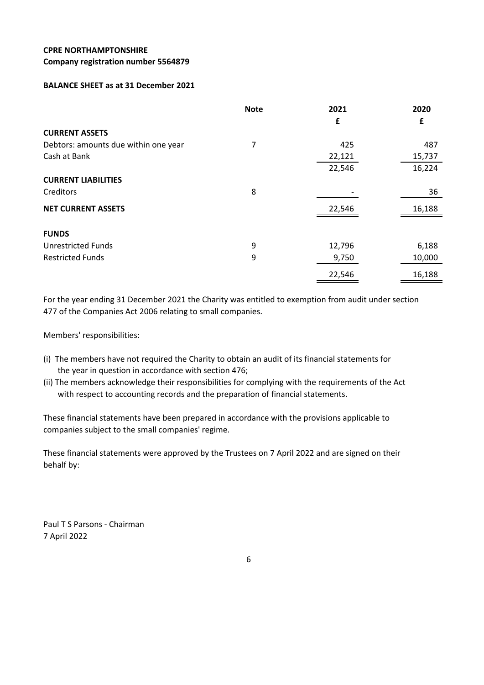### **Company registration number 5564879**

## **BALANCE SHEET as at 31 December 2021**

|                                      | <b>Note</b> | 2021   | 2020   |
|--------------------------------------|-------------|--------|--------|
|                                      |             | £      | £      |
| <b>CURRENT ASSETS</b>                |             |        |        |
| Debtors: amounts due within one year | 7           | 425    | 487    |
| Cash at Bank                         |             | 22,121 | 15,737 |
|                                      |             | 22,546 | 16,224 |
| <b>CURRENT LIABILITIES</b>           |             |        |        |
| Creditors                            | 8           |        | 36     |
| <b>NET CURRENT ASSETS</b>            |             | 22,546 | 16,188 |
|                                      |             |        |        |
| <b>FUNDS</b>                         |             |        |        |
| <b>Unrestricted Funds</b>            | 9           | 12,796 | 6,188  |
| <b>Restricted Funds</b>              | 9           | 9,750  | 10,000 |
|                                      |             | 22,546 | 16,188 |

For the year ending 31 December 2021 the Charity was entitled to exemption from audit under section 477 of the Companies Act 2006 relating to small companies.

Members' responsibilities:

- (i) The members have not required the Charity to obtain an audit of its financial statements for the year in question in accordance with section 476;
- (ii) The members acknowledge their responsibilities for complying with the requirements of the Act with respect to accounting records and the preparation of financial statements.

These financial statements have been prepared in accordance with the provisions applicable to companies subject to the small companies' regime.

These financial statements were approved by the Trustees on 7 April 2022 and are signed on their behalf by:

Paul T S Parsons - Chairman 7 April 2022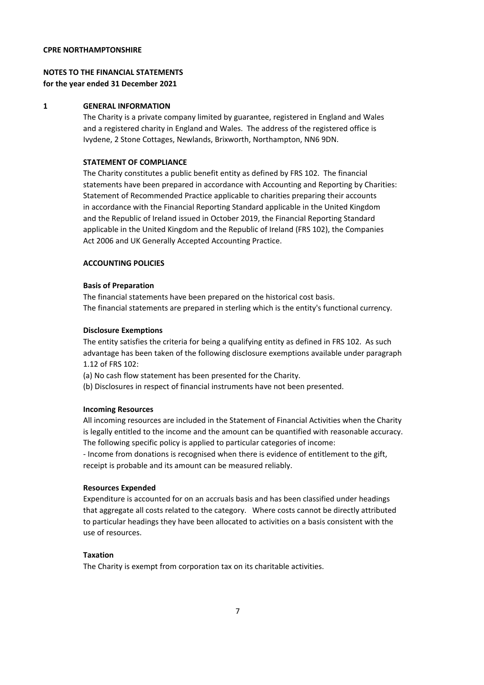## **NOTES TO THE FINANCIAL STATEMENTS for the year ended 31 December 2021**

### **1 GENERAL INFORMATION**

The Charity is a private company limited by guarantee, registered in England and Wales and a registered charity in England and Wales. The address of the registered office is Ivydene, 2 Stone Cottages, Newlands, Brixworth, Northampton, NN6 9DN.

### **STATEMENT OF COMPLIANCE**

The Charity constitutes a public benefit entity as defined by FRS 102. The financial statements have been prepared in accordance with Accounting and Reporting by Charities: Statement of Recommended Practice applicable to charities preparing their accounts in accordance with the Financial Reporting Standard applicable in the United Kingdom and the Republic of Ireland issued in October 2019, the Financial Reporting Standard applicable in the United Kingdom and the Republic of Ireland (FRS 102), the Companies Act 2006 and UK Generally Accepted Accounting Practice.

### **ACCOUNTING POLICIES**

#### **Basis of Preparation**

The financial statements have been prepared on the historical cost basis. The financial statements are prepared in sterling which is the entity's functional currency.

#### **Disclosure Exemptions**

The entity satisfies the criteria for being a qualifying entity as defined in FRS 102. As such advantage has been taken of the following disclosure exemptions available under paragraph 1.12 of FRS 102:

- (a) No cash flow statement has been presented for the Charity.
- (b) Disclosures in respect of financial instruments have not been presented.

### **Incoming Resources**

All incoming resources are included in the Statement of Financial Activities when the Charity is legally entitled to the income and the amount can be quantified with reasonable accuracy. The following specific policy is applied to particular categories of income:

- Income from donations is recognised when there is evidence of entitlement to the gift, receipt is probable and its amount can be measured reliably.

### **Resources Expended**

Expenditure is accounted for on an accruals basis and has been classified under headings that aggregate all costs related to the category. Where costs cannot be directly attributed to particular headings they have been allocated to activities on a basis consistent with the use of resources.

### **Taxation**

The Charity is exempt from corporation tax on its charitable activities.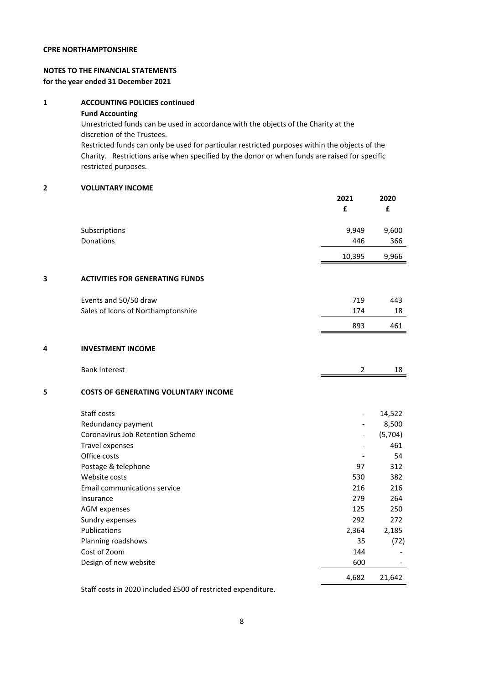## **NOTES TO THE FINANCIAL STATEMENTS for the year ended 31 December 2021**

## **1 ACCOUNTING POLICIES continued**

**Fund Accounting**

Unrestricted funds can be used in accordance with the objects of the Charity at the discretion of the Trustees.

Restricted funds can only be used for particular restricted purposes within the objects of the Charity. Restrictions arise when specified by the donor or when funds are raised for specific restricted purposes.

### **2 VOLUNTARY INCOME**

|   |                                             | 2021<br>£      | 2020<br>£ |
|---|---------------------------------------------|----------------|-----------|
|   | Subscriptions                               | 9,949          | 9,600     |
|   | Donations                                   | 446            | 366       |
|   |                                             | 10,395         | 9,966     |
| 3 | <b>ACTIVITIES FOR GENERATING FUNDS</b>      |                |           |
|   | Events and 50/50 draw                       | 719            | 443       |
|   | Sales of Icons of Northamptonshire          | 174            | 18        |
|   |                                             | 893            | 461       |
| 4 | <b>INVESTMENT INCOME</b>                    |                |           |
|   | <b>Bank Interest</b>                        | $\overline{2}$ | 18        |
| 5 | <b>COSTS OF GENERATING VOLUNTARY INCOME</b> |                |           |
|   | Staff costs                                 |                | 14,522    |
|   | Redundancy payment                          |                | 8,500     |
|   | Coronavirus Job Retention Scheme            |                | (5,704)   |
|   | Travel expenses                             |                | 461       |
|   | Office costs                                |                | 54        |
|   | Postage & telephone                         | 97             | 312       |
|   | Website costs                               | 530            | 382       |
|   | <b>Email communications service</b>         | 216            | 216       |
|   | Insurance                                   | 279            | 264       |
|   | <b>AGM</b> expenses                         | 125            | 250       |
|   | Sundry expenses                             | 292            | 272       |
|   | Publications                                | 2,364          | 2,185     |
|   | Planning roadshows                          | 35             | (72)      |
|   | Cost of Zoom                                | 144            |           |
|   | Design of new website                       | 600            |           |
|   |                                             | 4,682          | 21,642    |

Staff costs in 2020 included £500 of restricted expenditure.